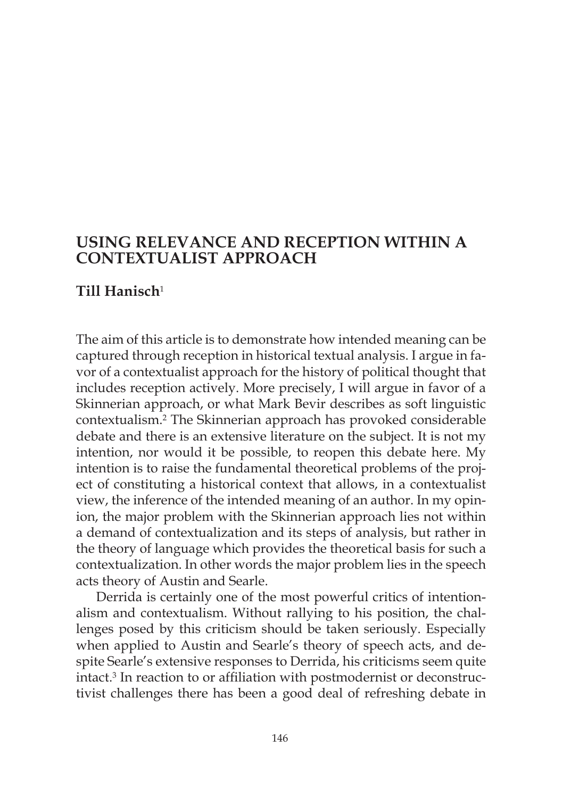# **USING RELEVANCE AND RECEPTION WITHIN A CONTEXTUALIST APPROACH**

# **Till Hanisch**<sup>1</sup>

The aim of this article is to demonstrate how intended meaning can be captured through reception in historical textual analysis. I argue in favor of a contextualist approach for the history of political thought that includes reception actively. More precisely, I will argue in favor of a Skinnerian approach, or what Mark Bevir describes as soft linguistic contextualism.2 The Skinnerian approach has provoked considerable debate and there is an extensive literature on the subject. It is not my intention, nor would it be possible, to reopen this debate here. My intention is to raise the fundamental theoretical problems of the project of constituting a historical context that allows, in a contextualist view, the inference of the intended meaning of an author. In my opinion, the major problem with the Skinnerian approach lies not within a demand of contextualization and its steps of analysis, but rather in the theory of language which provides the theoretical basis for such a contextualization. In other words the major problem lies in the speech acts theory of Austin and Searle.

Derrida is certainly one of the most powerful critics of intentionalism and contextualism. Without rallying to his position, the challenges posed by this criticism should be taken seriously. Especially when applied to Austin and Searle's theory of speech acts, and despite Searle's extensive responses to Derrida, his criticisms seem quite intact.3 In reaction to or affiliation with postmodernist or deconstructivist challenges there has been a good deal of refreshing debate in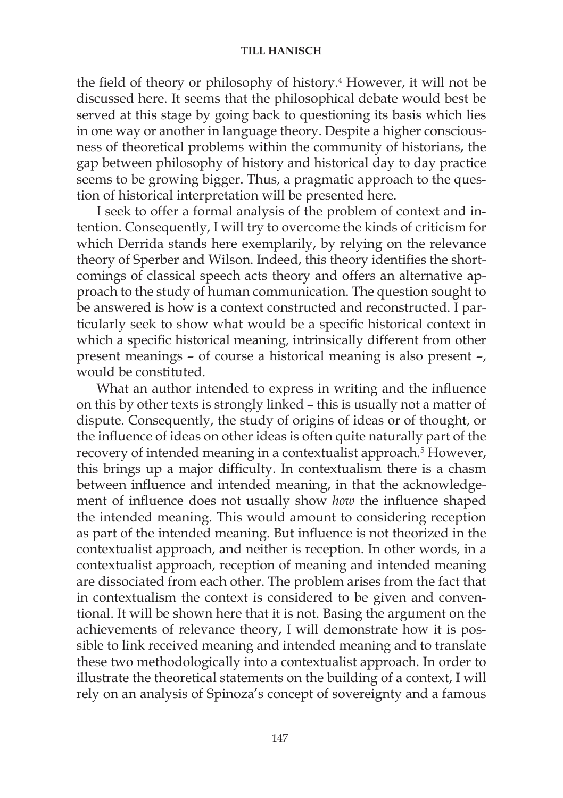the field of theory or philosophy of history.<sup>4</sup> However, it will not be discussed here. It seems that the philosophical debate would best be served at this stage by going back to questioning its basis which lies in one way or another in language theory. Despite a higher consciousness of theoretical problems within the community of historians, the gap between philosophy of history and historical day to day practice seems to be growing bigger. Thus, a pragmatic approach to the question of historical interpretation will be presented here.

I seek to offer a formal analysis of the problem of context and intention. Consequently, I will try to overcome the kinds of criticism for which Derrida stands here exemplarily, by relying on the relevance theory of Sperber and Wilson. Indeed, this theory identifies the shortcomings of classical speech acts theory and offers an alternative approach to the study of human communication. The question sought to be answered is how is a context constructed and reconstructed. I particularly seek to show what would be a specific historical context in which a specific historical meaning, intrinsically different from other present meanings – of course a historical meaning is also present –, would be constituted.

What an author intended to express in writing and the influence on this by other texts is strongly linked – this is usually not a matter of dispute. Consequently, the study of origins of ideas or of thought, or the influence of ideas on other ideas is often quite naturally part of the recovery of intended meaning in a contextualist approach.<sup>5</sup> However, this brings up a major difficulty. In contextualism there is a chasm between influence and intended meaning, in that the acknowledgement of influence does not usually show *how* the influence shaped the intended meaning. This would amount to considering reception as part of the intended meaning. But influence is not theorized in the contextualist approach, and neither is reception. In other words, in a contextualist approach, reception of meaning and intended meaning are dissociated from each other. The problem arises from the fact that in contextualism the context is considered to be given and conventional. It will be shown here that it is not. Basing the argument on the achievements of relevance theory, I will demonstrate how it is possible to link received meaning and intended meaning and to translate these two methodologically into a contextualist approach. In order to illustrate the theoretical statements on the building of a context, I will rely on an analysis of Spinoza's concept of sovereignty and a famous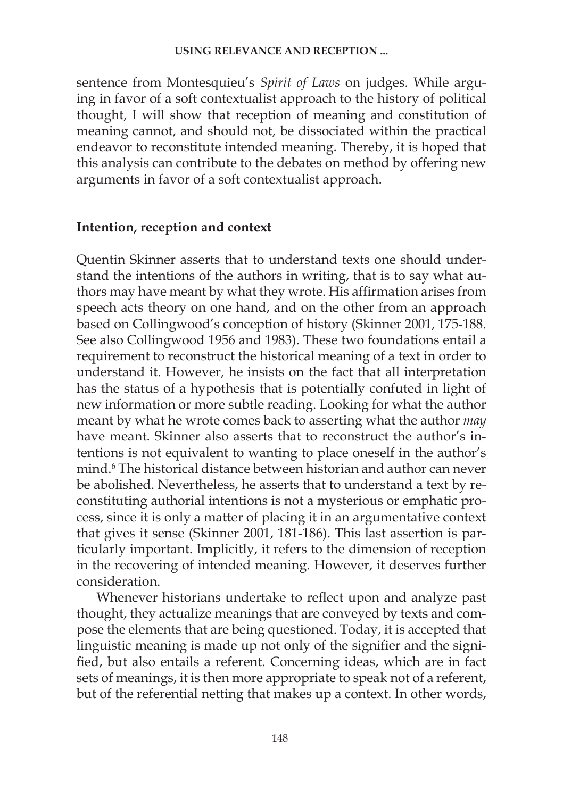sentence from Montesquieu's *Spirit of Laws* on judges. While arguing in favor of a soft contextualist approach to the history of political thought, I will show that reception of meaning and constitution of meaning cannot, and should not, be dissociated within the practical endeavor to reconstitute intended meaning. Thereby, it is hoped that this analysis can contribute to the debates on method by offering new arguments in favor of a soft contextualist approach.

### **Intention, reception and context**

Quentin Skinner asserts that to understand texts one should understand the intentions of the authors in writing, that is to say what authors may have meant by what they wrote. His affirmation arises from speech acts theory on one hand, and on the other from an approach based on Collingwood's conception of history (Skinner 2001, 175-188. See also Collingwood 1956 and 1983). These two foundations entail a requirement to reconstruct the historical meaning of a text in order to understand it. However, he insists on the fact that all interpretation has the status of a hypothesis that is potentially confuted in light of new information or more subtle reading. Looking for what the author meant by what he wrote comes back to asserting what the author *may* have meant. Skinner also asserts that to reconstruct the author's intentions is not equivalent to wanting to place oneself in the author's mind.6 The historical distance between historian and author can never be abolished. Nevertheless, he asserts that to understand a text by reconstituting authorial intentions is not a mysterious or emphatic process, since it is only a matter of placing it in an argumentative context that gives it sense (Skinner 2001, 181-186). This last assertion is particularly important. Implicitly, it refers to the dimension of reception in the recovering of intended meaning. However, it deserves further consideration.

Whenever historians undertake to reflect upon and analyze past thought, they actualize meanings that are conveyed by texts and compose the elements that are being questioned. Today, it is accepted that linguistic meaning is made up not only of the signifier and the signified, but also entails a referent. Concerning ideas, which are in fact sets of meanings, it is then more appropriate to speak not of a referent, but of the referential netting that makes up a context. In other words,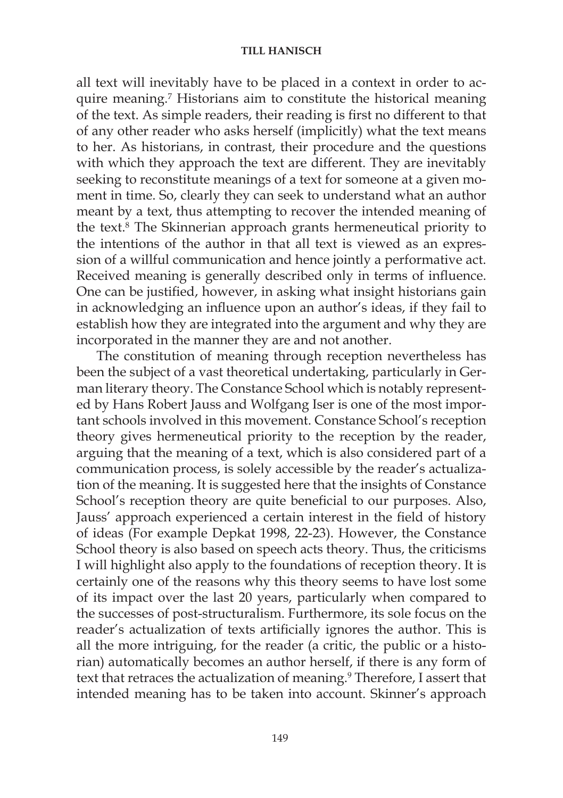all text will inevitably have to be placed in a context in order to acquire meaning.7 Historians aim to constitute the historical meaning of the text. As simple readers, their reading is first no different to that of any other reader who asks herself (implicitly) what the text means to her. As historians, in contrast, their procedure and the questions with which they approach the text are different. They are inevitably seeking to reconstitute meanings of a text for someone at a given moment in time. So, clearly they can seek to understand what an author meant by a text, thus attempting to recover the intended meaning of the text.<sup>8</sup> The Skinnerian approach grants hermeneutical priority to the intentions of the author in that all text is viewed as an expression of a willful communication and hence jointly a performative act. Received meaning is generally described only in terms of influence. One can be justified, however, in asking what insight historians gain in acknowledging an influence upon an author's ideas, if they fail to establish how they are integrated into the argument and why they are incorporated in the manner they are and not another.

The constitution of meaning through reception nevertheless has been the subject of a vast theoretical undertaking, particularly in German literary theory. The Constance School which is notably represented by Hans Robert Jauss and Wolfgang Iser is one of the most important schools involved in this movement. Constance School's reception theory gives hermeneutical priority to the reception by the reader, arguing that the meaning of a text, which is also considered part of a communication process, is solely accessible by the reader's actualization of the meaning. It is suggested here that the insights of Constance School's reception theory are quite beneficial to our purposes. Also, Jauss' approach experienced a certain interest in the field of history of ideas (For example Depkat 1998, 22-23). However, the Constance School theory is also based on speech acts theory. Thus, the criticisms I will highlight also apply to the foundations of reception theory. It is certainly one of the reasons why this theory seems to have lost some of its impact over the last 20 years, particularly when compared to the successes of post-structuralism. Furthermore, its sole focus on the reader's actualization of texts artificially ignores the author. This is all the more intriguing, for the reader (a critic, the public or a historian) automatically becomes an author herself, if there is any form of text that retraces the actualization of meaning.<sup>9</sup> Therefore, I assert that intended meaning has to be taken into account. Skinner's approach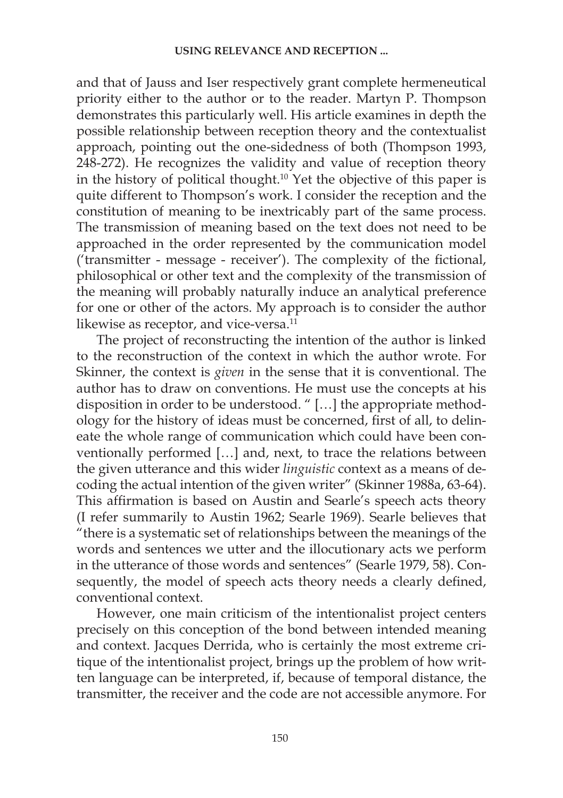and that of Jauss and Iser respectively grant complete hermeneutical priority either to the author or to the reader. Martyn P. Thompson demonstrates this particularly well. His article examines in depth the possible relationship between reception theory and the contextualist approach, pointing out the one-sidedness of both (Thompson 1993, 248-272). He recognizes the validity and value of reception theory in the history of political thought.10 Yet the objective of this paper is quite different to Thompson's work. I consider the reception and the constitution of meaning to be inextricably part of the same process. The transmission of meaning based on the text does not need to be approached in the order represented by the communication model ('transmitter - message - receiver'). The complexity of the fictional, philosophical or other text and the complexity of the transmission of the meaning will probably naturally induce an analytical preference for one or other of the actors. My approach is to consider the author likewise as receptor, and vice-versa.<sup>11</sup>

The project of reconstructing the intention of the author is linked to the reconstruction of the context in which the author wrote. For Skinner, the context is *given* in the sense that it is conventional. The author has to draw on conventions. He must use the concepts at his disposition in order to be understood. " […] the appropriate methodology for the history of ideas must be concerned, first of all, to delineate the whole range of communication which could have been conventionally performed […] and, next, to trace the relations between the given utterance and this wider *linguistic* context as a means of decoding the actual intention of the given writer" (Skinner 1988a, 63-64). This affirmation is based on Austin and Searle's speech acts theory (I refer summarily to Austin 1962; Searle 1969). Searle believes that "there is a systematic set of relationships between the meanings of the words and sentences we utter and the illocutionary acts we perform in the utterance of those words and sentences" (Searle 1979, 58). Consequently, the model of speech acts theory needs a clearly defined, conventional context.

However, one main criticism of the intentionalist project centers precisely on this conception of the bond between intended meaning and context. Jacques Derrida, who is certainly the most extreme critique of the intentionalist project, brings up the problem of how written language can be interpreted, if, because of temporal distance, the transmitter, the receiver and the code are not accessible anymore. For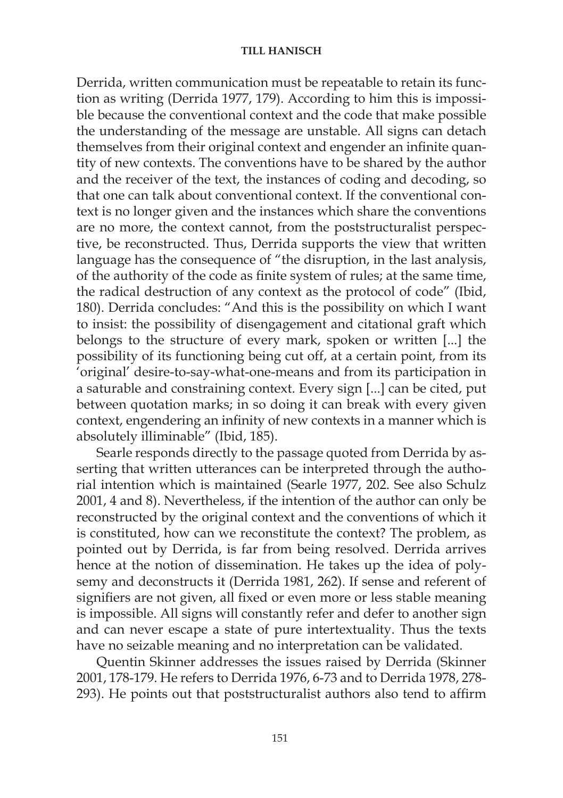Derrida, written communication must be repeatable to retain its function as writing (Derrida 1977, 179). According to him this is impossible because the conventional context and the code that make possible the understanding of the message are unstable. All signs can detach themselves from their original context and engender an infinite quantity of new contexts. The conventions have to be shared by the author and the receiver of the text, the instances of coding and decoding, so that one can talk about conventional context. If the conventional context is no longer given and the instances which share the conventions are no more, the context cannot, from the poststructuralist perspective, be reconstructed. Thus, Derrida supports the view that written language has the consequence of "the disruption, in the last analysis, of the authority of the code as finite system of rules; at the same time, the radical destruction of any context as the protocol of code" (Ibid, 180). Derrida concludes: "And this is the possibility on which I want to insist: the possibility of disengagement and citational graft which belongs to the structure of every mark, spoken or written [...] the possibility of its functioning being cut off, at a certain point, from its 'original' desire-to-say-what-one-means and from its participation in a saturable and constraining context. Every sign [...] can be cited, put between quotation marks; in so doing it can break with every given context, engendering an infinity of new contexts in a manner which is absolutely illiminable" (Ibid, 185).

Searle responds directly to the passage quoted from Derrida by asserting that written utterances can be interpreted through the authorial intention which is maintained (Searle 1977, 202. See also Schulz 2001, 4 and 8). Nevertheless, if the intention of the author can only be reconstructed by the original context and the conventions of which it is constituted, how can we reconstitute the context? The problem, as pointed out by Derrida, is far from being resolved. Derrida arrives hence at the notion of dissemination. He takes up the idea of polysemy and deconstructs it (Derrida 1981, 262). If sense and referent of signifiers are not given, all fixed or even more or less stable meaning is impossible. All signs will constantly refer and defer to another sign and can never escape a state of pure intertextuality. Thus the texts have no seizable meaning and no interpretation can be validated.

Quentin Skinner addresses the issues raised by Derrida (Skinner 2001, 178-179. He refers to Derrida 1976, 6-73 and to Derrida 1978, 278- 293). He points out that poststructuralist authors also tend to affirm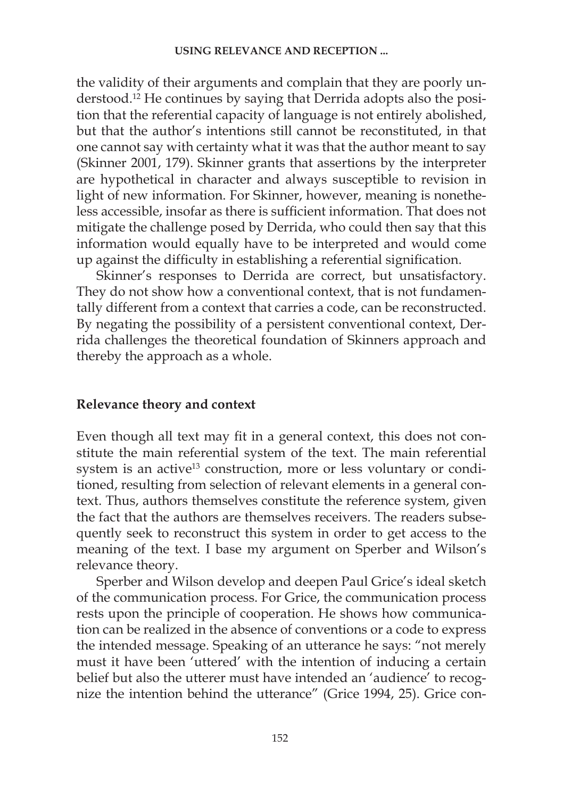the validity of their arguments and complain that they are poorly understood.12 He continues by saying that Derrida adopts also the position that the referential capacity of language is not entirely abolished, but that the author's intentions still cannot be reconstituted, in that one cannot say with certainty what it was that the author meant to say (Skinner 2001, 179). Skinner grants that assertions by the interpreter are hypothetical in character and always susceptible to revision in light of new information. For Skinner, however, meaning is nonetheless accessible, insofar as there is sufficient information. That does not mitigate the challenge posed by Derrida, who could then say that this information would equally have to be interpreted and would come up against the difficulty in establishing a referential signification.

Skinner's responses to Derrida are correct, but unsatisfactory. They do not show how a conventional context, that is not fundamentally different from a context that carries a code, can be reconstructed. By negating the possibility of a persistent conventional context, Derrida challenges the theoretical foundation of Skinners approach and thereby the approach as a whole.

## **Relevance theory and context**

Even though all text may fit in a general context, this does not constitute the main referential system of the text. The main referential system is an active<sup>13</sup> construction, more or less voluntary or conditioned, resulting from selection of relevant elements in a general context. Thus, authors themselves constitute the reference system, given the fact that the authors are themselves receivers. The readers subsequently seek to reconstruct this system in order to get access to the meaning of the text. I base my argument on Sperber and Wilson's relevance theory.

Sperber and Wilson develop and deepen Paul Grice's ideal sketch of the communication process. For Grice, the communication process rests upon the principle of cooperation. He shows how communication can be realized in the absence of conventions or a code to express the intended message. Speaking of an utterance he says: "not merely must it have been 'uttered' with the intention of inducing a certain belief but also the utterer must have intended an 'audience' to recognize the intention behind the utterance" (Grice 1994, 25). Grice con-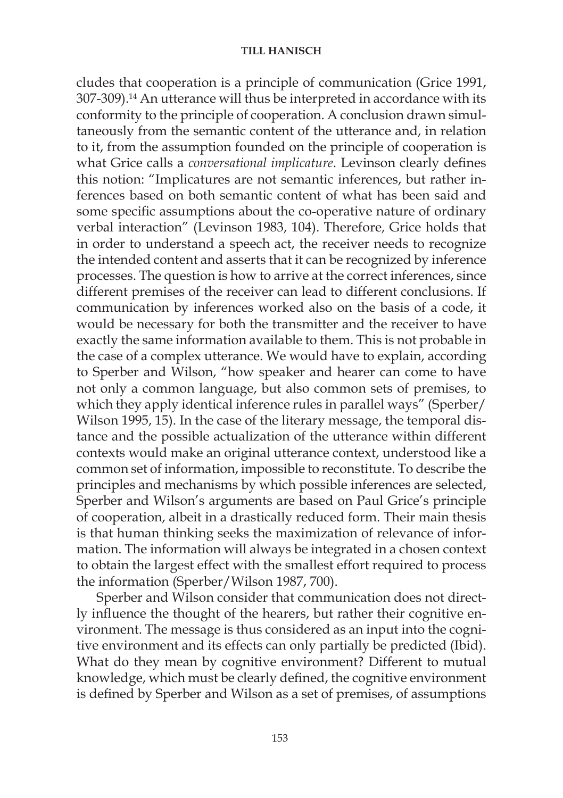cludes that cooperation is a principle of communication (Grice 1991, 307-309).14 An utterance will thus be interpreted in accordance with its conformity to the principle of cooperation. A conclusion drawn simultaneously from the semantic content of the utterance and, in relation to it, from the assumption founded on the principle of cooperation is what Grice calls a *conversational implicature*. Levinson clearly defines this notion: "Implicatures are not semantic inferences, but rather inferences based on both semantic content of what has been said and some specific assumptions about the co-operative nature of ordinary verbal interaction" (Levinson 1983, 104). Therefore, Grice holds that in order to understand a speech act, the receiver needs to recognize the intended content and asserts that it can be recognized by inference processes. The question is how to arrive at the correct inferences, since different premises of the receiver can lead to different conclusions. If communication by inferences worked also on the basis of a code, it would be necessary for both the transmitter and the receiver to have exactly the same information available to them. This is not probable in the case of a complex utterance. We would have to explain, according to Sperber and Wilson, "how speaker and hearer can come to have not only a common language, but also common sets of premises, to which they apply identical inference rules in parallel ways" (Sperber/ Wilson 1995, 15). In the case of the literary message, the temporal distance and the possible actualization of the utterance within different contexts would make an original utterance context, understood like a common set of information, impossible to reconstitute. To describe the principles and mechanisms by which possible inferences are selected, Sperber and Wilson's arguments are based on Paul Grice's principle of cooperation, albeit in a drastically reduced form. Their main thesis is that human thinking seeks the maximization of relevance of information. The information will always be integrated in a chosen context to obtain the largest effect with the smallest effort required to process the information (Sperber/Wilson 1987, 700).

Sperber and Wilson consider that communication does not directly influence the thought of the hearers, but rather their cognitive environment. The message is thus considered as an input into the cognitive environment and its effects can only partially be predicted (Ibid). What do they mean by cognitive environment? Different to mutual knowledge, which must be clearly defined, the cognitive environment is defined by Sperber and Wilson as a set of premises, of assumptions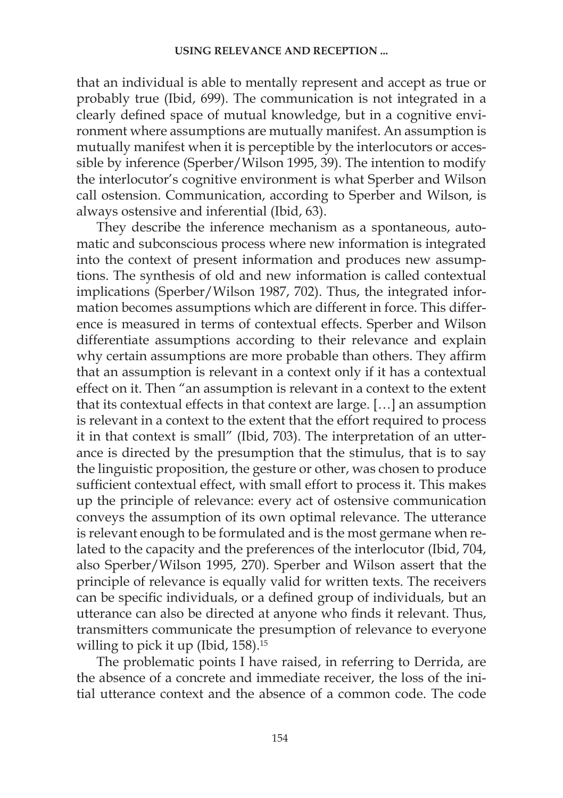that an individual is able to mentally represent and accept as true or probably true (Ibid, 699). The communication is not integrated in a clearly defined space of mutual knowledge, but in a cognitive environment where assumptions are mutually manifest. An assumption is mutually manifest when it is perceptible by the interlocutors or accessible by inference (Sperber/Wilson 1995, 39). The intention to modify the interlocutor's cognitive environment is what Sperber and Wilson call ostension. Communication, according to Sperber and Wilson, is always ostensive and inferential (Ibid, 63).

They describe the inference mechanism as a spontaneous, automatic and subconscious process where new information is integrated into the context of present information and produces new assumptions. The synthesis of old and new information is called contextual implications (Sperber/Wilson 1987, 702). Thus, the integrated information becomes assumptions which are different in force. This difference is measured in terms of contextual effects. Sperber and Wilson differentiate assumptions according to their relevance and explain why certain assumptions are more probable than others. They affirm that an assumption is relevant in a context only if it has a contextual effect on it. Then "an assumption is relevant in a context to the extent that its contextual effects in that context are large. […] an assumption is relevant in a context to the extent that the effort required to process it in that context is small" (Ibid, 703). The interpretation of an utterance is directed by the presumption that the stimulus, that is to say the linguistic proposition, the gesture or other, was chosen to produce sufficient contextual effect, with small effort to process it. This makes up the principle of relevance: every act of ostensive communication conveys the assumption of its own optimal relevance. The utterance is relevant enough to be formulated and is the most germane when related to the capacity and the preferences of the interlocutor (Ibid, 704, also Sperber/Wilson 1995, 270). Sperber and Wilson assert that the principle of relevance is equally valid for written texts. The receivers can be specific individuals, or a defined group of individuals, but an utterance can also be directed at anyone who finds it relevant. Thus, transmitters communicate the presumption of relevance to everyone willing to pick it up (Ibid, 158).<sup>15</sup>

The problematic points I have raised, in referring to Derrida, are the absence of a concrete and immediate receiver, the loss of the initial utterance context and the absence of a common code. The code

154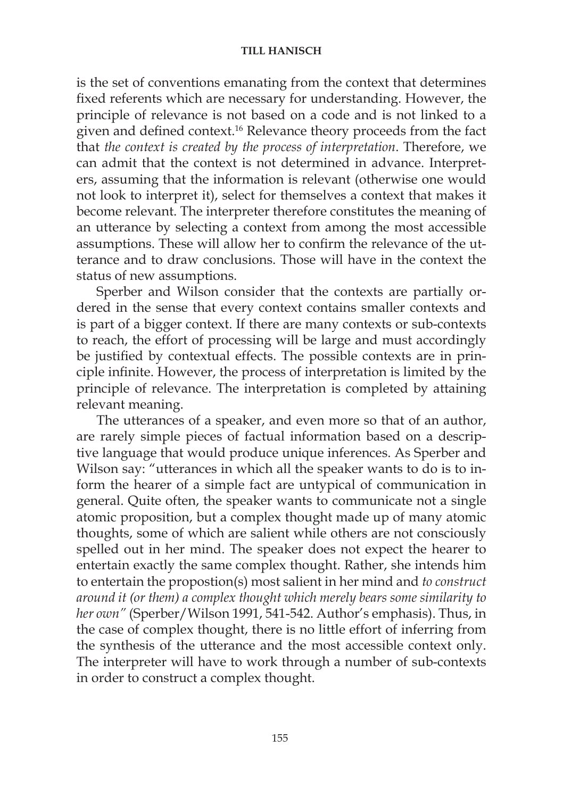is the set of conventions emanating from the context that determines fixed referents which are necessary for understanding. However, the principle of relevance is not based on a code and is not linked to a given and defined context.16 Relevance theory proceeds from the fact that *the context is created by the process of interpretation*. Therefore, we can admit that the context is not determined in advance. Interpreters, assuming that the information is relevant (otherwise one would not look to interpret it), select for themselves a context that makes it become relevant. The interpreter therefore constitutes the meaning of an utterance by selecting a context from among the most accessible assumptions. These will allow her to confirm the relevance of the utterance and to draw conclusions. Those will have in the context the status of new assumptions.

Sperber and Wilson consider that the contexts are partially ordered in the sense that every context contains smaller contexts and is part of a bigger context. If there are many contexts or sub-contexts to reach, the effort of processing will be large and must accordingly be justified by contextual effects. The possible contexts are in principle infinite. However, the process of interpretation is limited by the principle of relevance. The interpretation is completed by attaining relevant meaning.

The utterances of a speaker, and even more so that of an author, are rarely simple pieces of factual information based on a descriptive language that would produce unique inferences. As Sperber and Wilson say: "utterances in which all the speaker wants to do is to inform the hearer of a simple fact are untypical of communication in general. Quite often, the speaker wants to communicate not a single atomic proposition, but a complex thought made up of many atomic thoughts, some of which are salient while others are not consciously spelled out in her mind. The speaker does not expect the hearer to entertain exactly the same complex thought. Rather, she intends him to entertain the propostion(s) most salient in her mind and *to construct around it (or them) a complex thought which merely bears some similarity to her own"* (Sperber/Wilson 1991, 541-542. Author's emphasis). Thus, in the case of complex thought, there is no little effort of inferring from the synthesis of the utterance and the most accessible context only. The interpreter will have to work through a number of sub-contexts in order to construct a complex thought.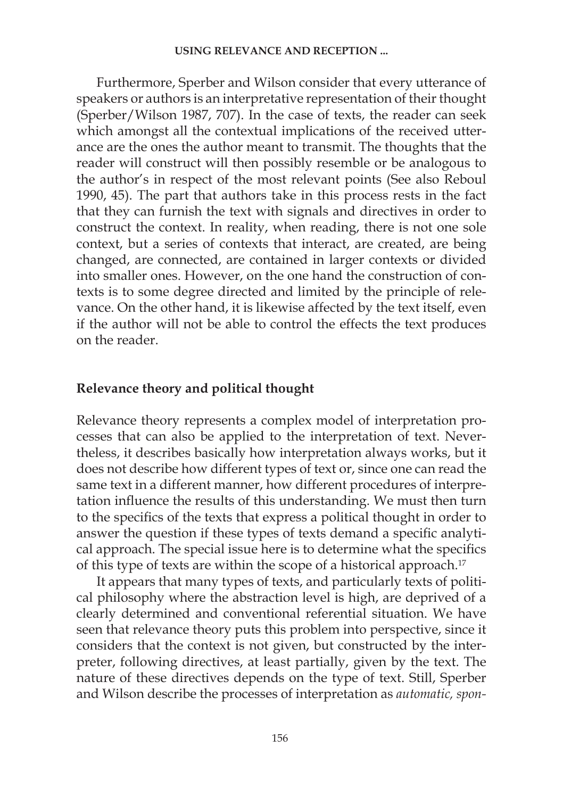Furthermore, Sperber and Wilson consider that every utterance of speakers or authors is an interpretative representation of their thought (Sperber/Wilson 1987, 707). In the case of texts, the reader can seek which amongst all the contextual implications of the received utterance are the ones the author meant to transmit. The thoughts that the reader will construct will then possibly resemble or be analogous to the author's in respect of the most relevant points (See also Reboul 1990, 45). The part that authors take in this process rests in the fact that they can furnish the text with signals and directives in order to construct the context. In reality, when reading, there is not one sole context, but a series of contexts that interact, are created, are being changed, are connected, are contained in larger contexts or divided into smaller ones. However, on the one hand the construction of contexts is to some degree directed and limited by the principle of relevance. On the other hand, it is likewise affected by the text itself, even if the author will not be able to control the effects the text produces on the reader.

## **Relevance theory and political thought**

Relevance theory represents a complex model of interpretation processes that can also be applied to the interpretation of text. Nevertheless, it describes basically how interpretation always works, but it does not describe how different types of text or, since one can read the same text in a different manner, how different procedures of interpretation influence the results of this understanding. We must then turn to the specifics of the texts that express a political thought in order to answer the question if these types of texts demand a specific analytical approach. The special issue here is to determine what the specifics of this type of texts are within the scope of a historical approach.17

It appears that many types of texts, and particularly texts of political philosophy where the abstraction level is high, are deprived of a clearly determined and conventional referential situation. We have seen that relevance theory puts this problem into perspective, since it considers that the context is not given, but constructed by the interpreter, following directives, at least partially, given by the text. The nature of these directives depends on the type of text. Still, Sperber and Wilson describe the processes of interpretation as *automatic, spon-*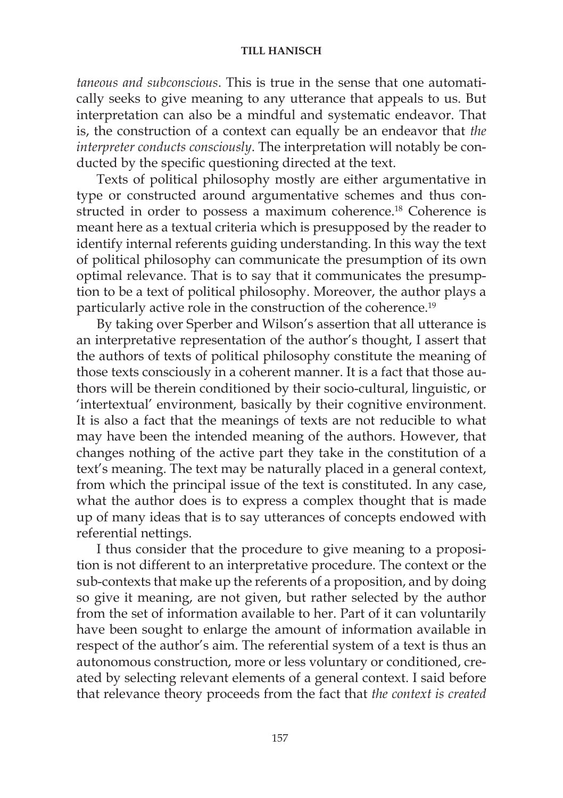*taneous and subconscious*. This is true in the sense that one automatically seeks to give meaning to any utterance that appeals to us. But interpretation can also be a mindful and systematic endeavor. That is, the construction of a context can equally be an endeavor that *the interpreter conducts consciously*. The interpretation will notably be conducted by the specific questioning directed at the text.

Texts of political philosophy mostly are either argumentative in type or constructed around argumentative schemes and thus constructed in order to possess a maximum coherence.18 Coherence is meant here as a textual criteria which is presupposed by the reader to identify internal referents guiding understanding. In this way the text of political philosophy can communicate the presumption of its own optimal relevance. That is to say that it communicates the presumption to be a text of political philosophy. Moreover, the author plays a particularly active role in the construction of the coherence.19

By taking over Sperber and Wilson's assertion that all utterance is an interpretative representation of the author's thought, I assert that the authors of texts of political philosophy constitute the meaning of those texts consciously in a coherent manner. It is a fact that those authors will be therein conditioned by their socio-cultural, linguistic, or 'intertextual' environment, basically by their cognitive environment. It is also a fact that the meanings of texts are not reducible to what may have been the intended meaning of the authors. However, that changes nothing of the active part they take in the constitution of a text's meaning. The text may be naturally placed in a general context, from which the principal issue of the text is constituted. In any case, what the author does is to express a complex thought that is made up of many ideas that is to say utterances of concepts endowed with referential nettings.

I thus consider that the procedure to give meaning to a proposition is not different to an interpretative procedure. The context or the sub-contexts that make up the referents of a proposition, and by doing so give it meaning, are not given, but rather selected by the author from the set of information available to her. Part of it can voluntarily have been sought to enlarge the amount of information available in respect of the author's aim. The referential system of a text is thus an autonomous construction, more or less voluntary or conditioned, created by selecting relevant elements of a general context. I said before that relevance theory proceeds from the fact that *the context is created*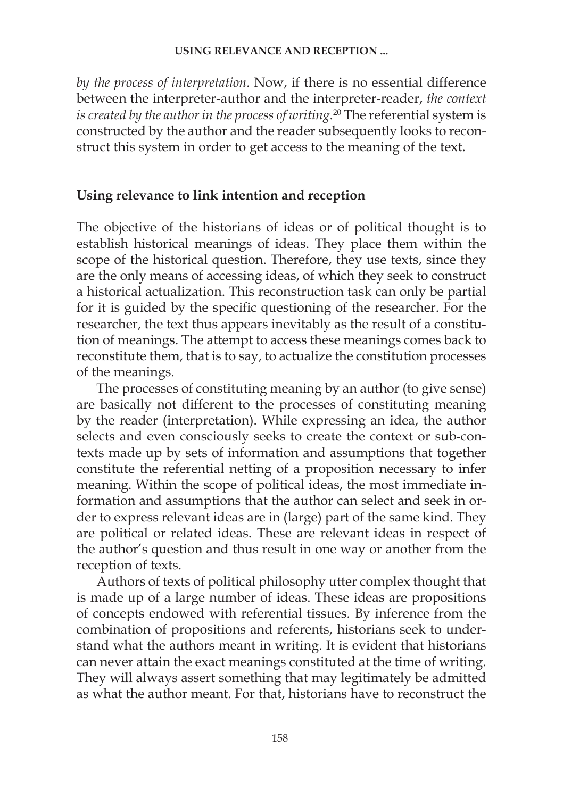*by the process of interpretation*. Now, if there is no essential difference between the interpreter-author and the interpreter-reader, *the context is created by the author in the process of writing*. 20 The referential system is constructed by the author and the reader subsequently looks to reconstruct this system in order to get access to the meaning of the text.

## **Using relevance to link intention and reception**

The objective of the historians of ideas or of political thought is to establish historical meanings of ideas. They place them within the scope of the historical question. Therefore, they use texts, since they are the only means of accessing ideas, of which they seek to construct a historical actualization. This reconstruction task can only be partial for it is guided by the specific questioning of the researcher. For the researcher, the text thus appears inevitably as the result of a constitution of meanings. The attempt to access these meanings comes back to reconstitute them, that is to say, to actualize the constitution processes of the meanings.

The processes of constituting meaning by an author (to give sense) are basically not different to the processes of constituting meaning by the reader (interpretation). While expressing an idea, the author selects and even consciously seeks to create the context or sub-contexts made up by sets of information and assumptions that together constitute the referential netting of a proposition necessary to infer meaning. Within the scope of political ideas, the most immediate information and assumptions that the author can select and seek in order to express relevant ideas are in (large) part of the same kind. They are political or related ideas. These are relevant ideas in respect of the author's question and thus result in one way or another from the reception of texts.

Authors of texts of political philosophy utter complex thought that is made up of a large number of ideas. These ideas are propositions of concepts endowed with referential tissues. By inference from the combination of propositions and referents, historians seek to understand what the authors meant in writing. It is evident that historians can never attain the exact meanings constituted at the time of writing. They will always assert something that may legitimately be admitted as what the author meant. For that, historians have to reconstruct the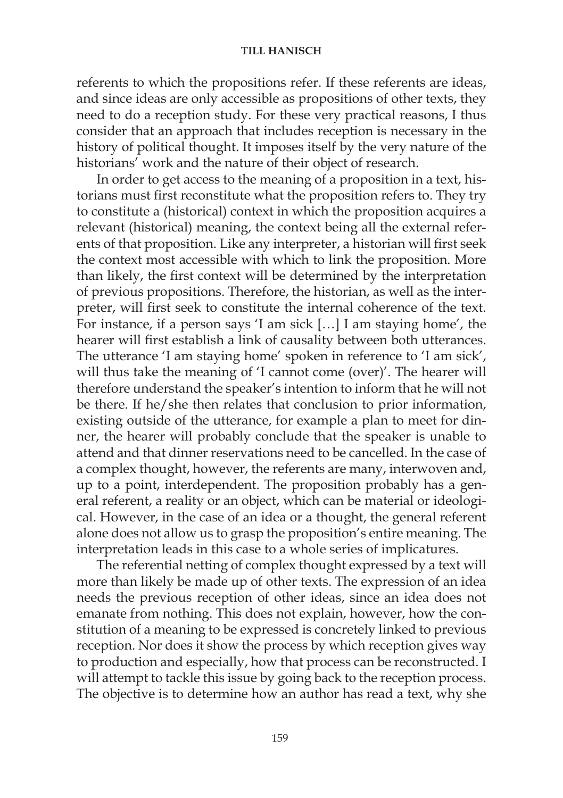referents to which the propositions refer. If these referents are ideas, and since ideas are only accessible as propositions of other texts, they need to do a reception study. For these very practical reasons, I thus consider that an approach that includes reception is necessary in the history of political thought. It imposes itself by the very nature of the historians' work and the nature of their object of research.

In order to get access to the meaning of a proposition in a text, historians must first reconstitute what the proposition refers to. They try to constitute a (historical) context in which the proposition acquires a relevant (historical) meaning, the context being all the external referents of that proposition. Like any interpreter, a historian will first seek the context most accessible with which to link the proposition. More than likely, the first context will be determined by the interpretation of previous propositions. Therefore, the historian, as well as the interpreter, will first seek to constitute the internal coherence of the text. For instance, if a person says 'I am sick […] I am staying home', the hearer will first establish a link of causality between both utterances. The utterance 'I am staying home' spoken in reference to 'I am sick', will thus take the meaning of 'I cannot come (over)'. The hearer will therefore understand the speaker's intention to inform that he will not be there. If he/she then relates that conclusion to prior information, existing outside of the utterance, for example a plan to meet for dinner, the hearer will probably conclude that the speaker is unable to attend and that dinner reservations need to be cancelled. In the case of a complex thought, however, the referents are many, interwoven and, up to a point, interdependent. The proposition probably has a general referent, a reality or an object, which can be material or ideological. However, in the case of an idea or a thought, the general referent alone does not allow us to grasp the proposition's entire meaning. The interpretation leads in this case to a whole series of implicatures.

The referential netting of complex thought expressed by a text will more than likely be made up of other texts. The expression of an idea needs the previous reception of other ideas, since an idea does not emanate from nothing. This does not explain, however, how the constitution of a meaning to be expressed is concretely linked to previous reception. Nor does it show the process by which reception gives way to production and especially, how that process can be reconstructed. I will attempt to tackle this issue by going back to the reception process. The objective is to determine how an author has read a text, why she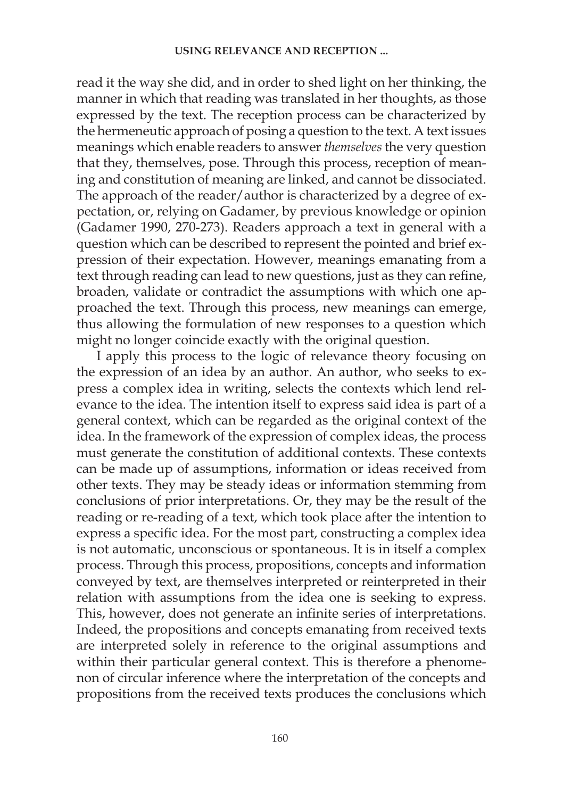read it the way she did, and in order to shed light on her thinking, the manner in which that reading was translated in her thoughts, as those expressed by the text. The reception process can be characterized by the hermeneutic approach of posing a question to the text. A text issues meanings which enable readers to answer *themselves* the very question that they, themselves, pose. Through this process, reception of meaning and constitution of meaning are linked, and cannot be dissociated. The approach of the reader/author is characterized by a degree of expectation, or, relying on Gadamer, by previous knowledge or opinion (Gadamer 1990, 270-273). Readers approach a text in general with a question which can be described to represent the pointed and brief expression of their expectation. However, meanings emanating from a text through reading can lead to new questions, just as they can refine, broaden, validate or contradict the assumptions with which one approached the text. Through this process, new meanings can emerge, thus allowing the formulation of new responses to a question which might no longer coincide exactly with the original question.

I apply this process to the logic of relevance theory focusing on the expression of an idea by an author. An author, who seeks to express a complex idea in writing, selects the contexts which lend relevance to the idea. The intention itself to express said idea is part of a general context, which can be regarded as the original context of the idea. In the framework of the expression of complex ideas, the process must generate the constitution of additional contexts. These contexts can be made up of assumptions, information or ideas received from other texts. They may be steady ideas or information stemming from conclusions of prior interpretations. Or, they may be the result of the reading or re-reading of a text, which took place after the intention to express a specific idea. For the most part, constructing a complex idea is not automatic, unconscious or spontaneous. It is in itself a complex process. Through this process, propositions, concepts and information conveyed by text, are themselves interpreted or reinterpreted in their relation with assumptions from the idea one is seeking to express. This, however, does not generate an infinite series of interpretations. Indeed, the propositions and concepts emanating from received texts are interpreted solely in reference to the original assumptions and within their particular general context. This is therefore a phenomenon of circular inference where the interpretation of the concepts and propositions from the received texts produces the conclusions which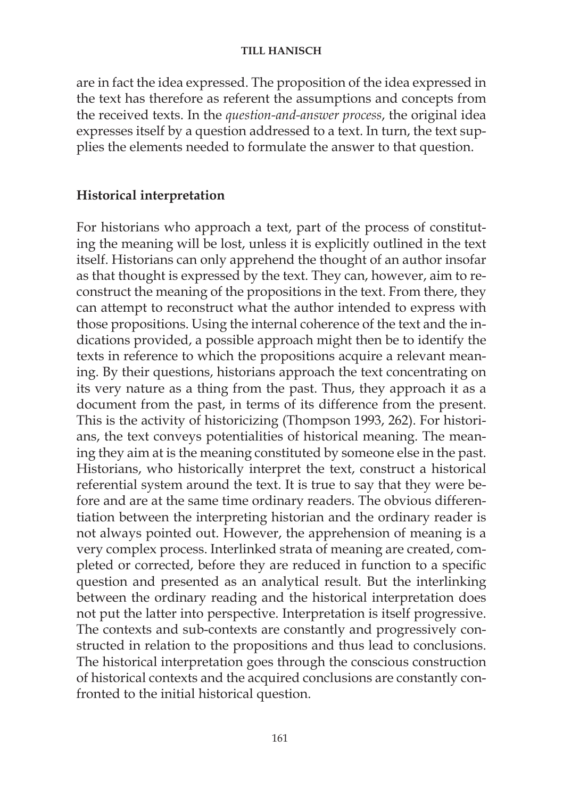are in fact the idea expressed. The proposition of the idea expressed in the text has therefore as referent the assumptions and concepts from the received texts. In the *question-and-answer process*, the original idea expresses itself by a question addressed to a text. In turn, the text supplies the elements needed to formulate the answer to that question.

## **Historical interpretation**

For historians who approach a text, part of the process of constituting the meaning will be lost, unless it is explicitly outlined in the text itself. Historians can only apprehend the thought of an author insofar as that thought is expressed by the text. They can, however, aim to reconstruct the meaning of the propositions in the text. From there, they can attempt to reconstruct what the author intended to express with those propositions. Using the internal coherence of the text and the indications provided, a possible approach might then be to identify the texts in reference to which the propositions acquire a relevant meaning. By their questions, historians approach the text concentrating on its very nature as a thing from the past. Thus, they approach it as a document from the past, in terms of its difference from the present. This is the activity of historicizing (Thompson 1993, 262). For historians, the text conveys potentialities of historical meaning. The meaning they aim at is the meaning constituted by someone else in the past. Historians, who historically interpret the text, construct a historical referential system around the text. It is true to say that they were before and are at the same time ordinary readers. The obvious differentiation between the interpreting historian and the ordinary reader is not always pointed out. However, the apprehension of meaning is a very complex process. Interlinked strata of meaning are created, completed or corrected, before they are reduced in function to a specific question and presented as an analytical result. But the interlinking between the ordinary reading and the historical interpretation does not put the latter into perspective. Interpretation is itself progressive. The contexts and sub-contexts are constantly and progressively constructed in relation to the propositions and thus lead to conclusions. The historical interpretation goes through the conscious construction of historical contexts and the acquired conclusions are constantly confronted to the initial historical question.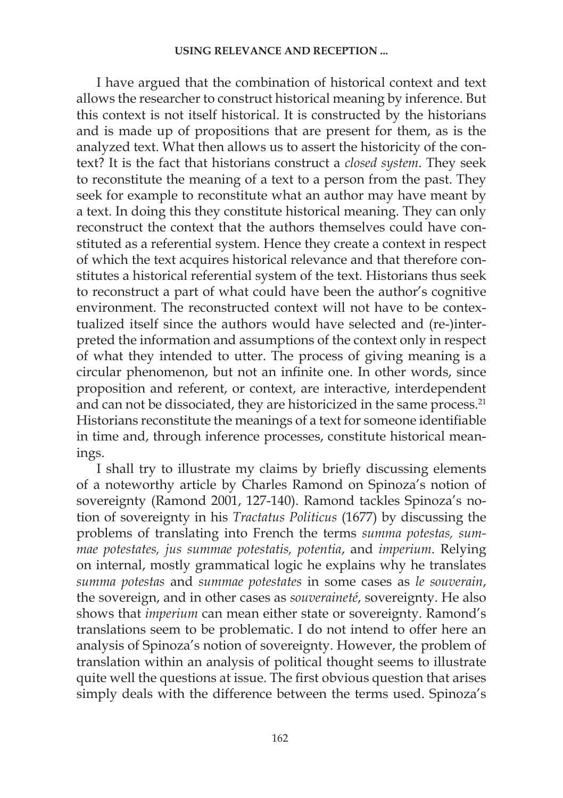I have argued that the combination of historical context and text allows the researcher to construct historical meaning by inference. But this context is not itself historical. It is constructed by the historians and is made up of propositions that are present for them, as is the analyzed text. What then allows us to assert the historicity of the context? It is the fact that historians construct a *closed system*. They seek to reconstitute the meaning of a text to a person from the past. They seek for example to reconstitute what an author may have meant by a text. In doing this they constitute historical meaning. They can only reconstruct the context that the authors themselves could have constituted as a referential system. Hence they create a context in respect of which the text acquires historical relevance and that therefore constitutes a historical referential system of the text. Historians thus seek to reconstruct a part of what could have been the author's cognitive environment. The reconstructed context will not have to be contextualized itself since the authors would have selected and (re-)interpreted the information and assumptions of the context only in respect of what they intended to utter. The process of giving meaning is a circular phenomenon, but not an infinite one. In other words, since proposition and referent, or context, are interactive, interdependent and can not be dissociated, they are historicized in the same process.<sup>21</sup> Historians reconstitute the meanings of a text for someone identifiable in time and, through inference processes, constitute historical meanings.

I shall try to illustrate my claims by briefly discussing elements of a noteworthy article by Charles Ramond on Spinoza's notion of sovereignty (Ramond 2001, 127-140). Ramond tackles Spinoza's notion of sovereignty in his *Tractatus Politicus* (1677) by discussing the problems of translating into French the terms *summa potestas, summae potestates, jus summae potestatis, potentia*, and *imperium*. Relying on internal, mostly grammatical logic he explains why he translates *summa potestas* and *summae potestates* in some cases as *le souverain*, the sovereign, and in other cases as *souveraineté*, sovereignty. He also shows that *imperium* can mean either state or sovereignty. Ramond's translations seem to be problematic. I do not intend to offer here an analysis of Spinoza's notion of sovereignty. However, the problem of translation within an analysis of political thought seems to illustrate quite well the questions at issue. The first obvious question that arises simply deals with the difference between the terms used. Spinoza's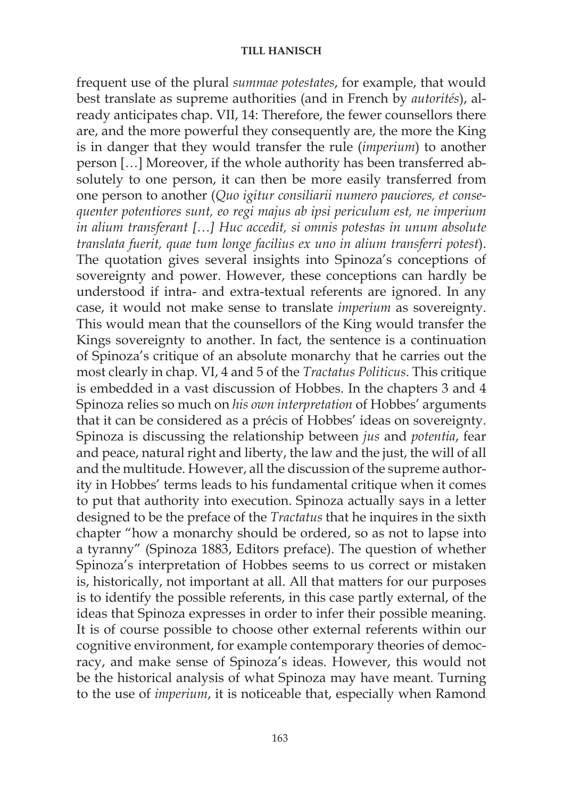frequent use of the plural *summae potestates*, for example, that would best translate as supreme authorities (and in French by *autorités*), already anticipates chap. VII, 14: Therefore, the fewer counsellors there are, and the more powerful they consequently are, the more the King is in danger that they would transfer the rule (*imperium*) to another person […] Moreover, if the whole authority has been transferred absolutely to one person, it can then be more easily transferred from one person to another (*Quo igitur consiliarii numero pauciores, et consequenter potentiores sunt, eo regi majus ab ipsi periculum est, ne imperium in alium transferant […] Huc accedit, si omnis potestas in unum absolute translata fuerit, quae tum longe facilius ex uno in alium transferri potest*). The quotation gives several insights into Spinoza's conceptions of sovereignty and power. However, these conceptions can hardly be understood if intra- and extra-textual referents are ignored. In any case, it would not make sense to translate *imperium* as sovereignty. This would mean that the counsellors of the King would transfer the Kings sovereignty to another. In fact, the sentence is a continuation of Spinoza's critique of an absolute monarchy that he carries out the most clearly in chap. VI, 4 and 5 of the *Tractatus Politicus*. This critique is embedded in a vast discussion of Hobbes. In the chapters 3 and 4 Spinoza relies so much on *his own interpretation* of Hobbes' arguments that it can be considered as a précis of Hobbes' ideas on sovereignty. Spinoza is discussing the relationship between *jus* and *potentia*, fear and peace, natural right and liberty, the law and the just, the will of all and the multitude. However, all the discussion of the supreme authority in Hobbes' terms leads to his fundamental critique when it comes to put that authority into execution. Spinoza actually says in a letter designed to be the preface of the *Tractatus* that he inquires in the sixth chapter "how a monarchy should be ordered, so as not to lapse into a tyranny" (Spinoza 1883, Editors preface). The question of whether Spinoza's interpretation of Hobbes seems to us correct or mistaken is, historically, not important at all. All that matters for our purposes is to identify the possible referents, in this case partly external, of the ideas that Spinoza expresses in order to infer their possible meaning. It is of course possible to choose other external referents within our cognitive environment, for example contemporary theories of democracy, and make sense of Spinoza's ideas. However, this would not be the historical analysis of what Spinoza may have meant. Turning to the use of *imperium*, it is noticeable that, especially when Ramond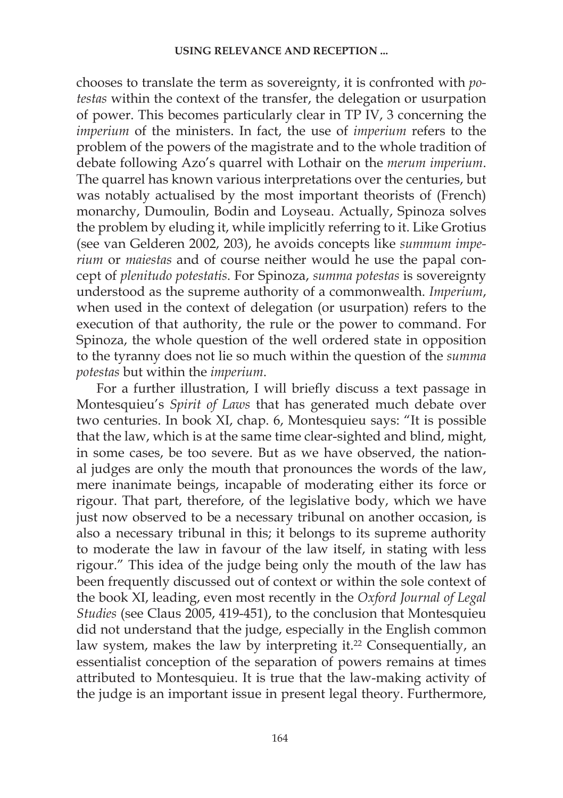chooses to translate the term as sovereignty, it is confronted with *potestas* within the context of the transfer, the delegation or usurpation of power. This becomes particularly clear in TP IV, 3 concerning the *imperium* of the ministers. In fact, the use of *imperium* refers to the problem of the powers of the magistrate and to the whole tradition of debate following Azo's quarrel with Lothair on the *merum imperium*. The quarrel has known various interpretations over the centuries, but was notably actualised by the most important theorists of (French) monarchy, Dumoulin, Bodin and Loyseau. Actually, Spinoza solves the problem by eluding it, while implicitly referring to it. Like Grotius (see van Gelderen 2002, 203), he avoids concepts like *summum imperium* or *maiestas* and of course neither would he use the papal concept of *plenitudo potestatis*. For Spinoza, *summa potestas* is sovereignty understood as the supreme authority of a commonwealth. *Imperium*, when used in the context of delegation (or usurpation) refers to the execution of that authority, the rule or the power to command. For Spinoza, the whole question of the well ordered state in opposition to the tyranny does not lie so much within the question of the *summa potestas* but within the *imperium*.

For a further illustration, I will briefly discuss a text passage in Montesquieu's *Spirit of Laws* that has generated much debate over two centuries. In book XI, chap. 6, Montesquieu says: "It is possible that the law, which is at the same time clear-sighted and blind, might, in some cases, be too severe. But as we have observed, the national judges are only the mouth that pronounces the words of the law, mere inanimate beings, incapable of moderating either its force or rigour. That part, therefore, of the legislative body, which we have just now observed to be a necessary tribunal on another occasion, is also a necessary tribunal in this; it belongs to its supreme authority to moderate the law in favour of the law itself, in stating with less rigour." This idea of the judge being only the mouth of the law has been frequently discussed out of context or within the sole context of the book XI, leading, even most recently in the *Oxford Journal of Legal Studies* (see Claus 2005, 419-451), to the conclusion that Montesquieu did not understand that the judge, especially in the English common law system, makes the law by interpreting it.<sup>22</sup> Consequentially, an essentialist conception of the separation of powers remains at times attributed to Montesquieu. It is true that the law-making activity of the judge is an important issue in present legal theory. Furthermore,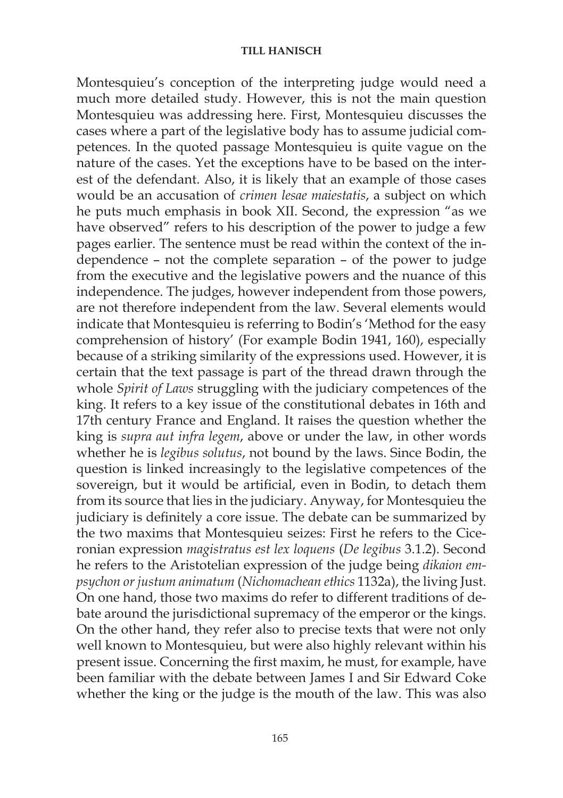Montesquieu's conception of the interpreting judge would need a much more detailed study. However, this is not the main question Montesquieu was addressing here. First, Montesquieu discusses the cases where a part of the legislative body has to assume judicial competences. In the quoted passage Montesquieu is quite vague on the nature of the cases. Yet the exceptions have to be based on the interest of the defendant. Also, it is likely that an example of those cases would be an accusation of *crimen lesae maiestatis*, a subject on which he puts much emphasis in book XII. Second, the expression "as we have observed" refers to his description of the power to judge a few pages earlier. The sentence must be read within the context of the independence – not the complete separation – of the power to judge from the executive and the legislative powers and the nuance of this independence. The judges, however independent from those powers, are not therefore independent from the law. Several elements would indicate that Montesquieu is referring to Bodin's 'Method for the easy comprehension of history' (For example Bodin 1941, 160), especially because of a striking similarity of the expressions used. However, it is certain that the text passage is part of the thread drawn through the whole *Spirit of Laws* struggling with the judiciary competences of the king. It refers to a key issue of the constitutional debates in 16th and 17th century France and England. It raises the question whether the king is *supra aut infra legem*, above or under the law, in other words whether he is *legibus solutus*, not bound by the laws. Since Bodin, the question is linked increasingly to the legislative competences of the sovereign, but it would be artificial, even in Bodin, to detach them from its source that lies in the judiciary. Anyway, for Montesquieu the judiciary is definitely a core issue. The debate can be summarized by the two maxims that Montesquieu seizes: First he refers to the Ciceronian expression *magistratus est lex loquens* (*De legibus* 3.1.2). Second he refers to the Aristotelian expression of the judge being *dikaion empsychon or justum animatum* (*Nichomachean ethics* 1132a), the living Just. On one hand, those two maxims do refer to different traditions of debate around the jurisdictional supremacy of the emperor or the kings. On the other hand, they refer also to precise texts that were not only well known to Montesquieu, but were also highly relevant within his present issue. Concerning the first maxim, he must, for example, have been familiar with the debate between James I and Sir Edward Coke whether the king or the judge is the mouth of the law. This was also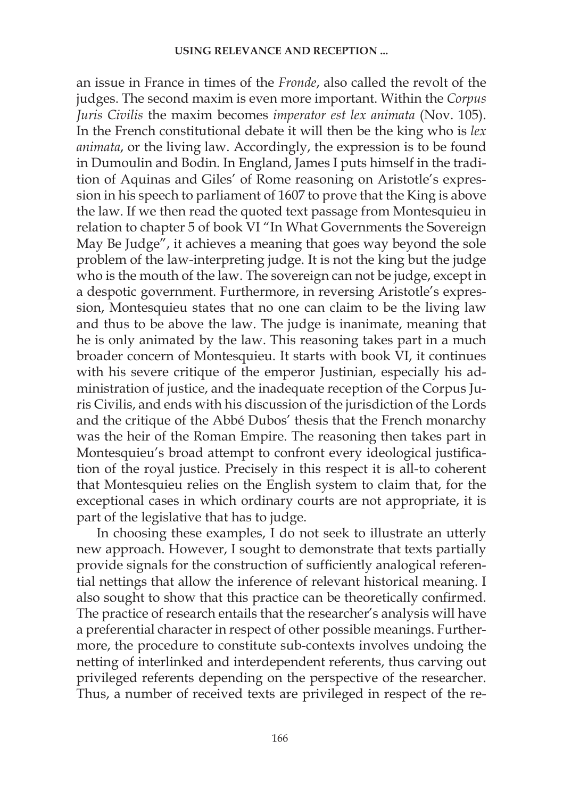an issue in France in times of the *Fronde*, also called the revolt of the judges. The second maxim is even more important. Within the *Corpus Juris Civilis* the maxim becomes *imperator est lex animata* (Nov. 105). In the French constitutional debate it will then be the king who is *lex animata*, or the living law. Accordingly, the expression is to be found in Dumoulin and Bodin. In England, James I puts himself in the tradition of Aquinas and Giles' of Rome reasoning on Aristotle's expression in his speech to parliament of 1607 to prove that the King is above the law. If we then read the quoted text passage from Montesquieu in relation to chapter 5 of book VI "In What Governments the Sovereign May Be Judge", it achieves a meaning that goes way beyond the sole problem of the law-interpreting judge. It is not the king but the judge who is the mouth of the law. The sovereign can not be judge, except in a despotic government. Furthermore, in reversing Aristotle's expression, Montesquieu states that no one can claim to be the living law and thus to be above the law. The judge is inanimate, meaning that he is only animated by the law. This reasoning takes part in a much broader concern of Montesquieu. It starts with book VI, it continues with his severe critique of the emperor Justinian, especially his administration of justice, and the inadequate reception of the Corpus Juris Civilis, and ends with his discussion of the jurisdiction of the Lords and the critique of the Abbé Dubos' thesis that the French monarchy was the heir of the Roman Empire. The reasoning then takes part in Montesquieu's broad attempt to confront every ideological justification of the royal justice. Precisely in this respect it is all-to coherent that Montesquieu relies on the English system to claim that, for the exceptional cases in which ordinary courts are not appropriate, it is part of the legislative that has to judge.

In choosing these examples, I do not seek to illustrate an utterly new approach. However, I sought to demonstrate that texts partially provide signals for the construction of sufficiently analogical referential nettings that allow the inference of relevant historical meaning. I also sought to show that this practice can be theoretically confirmed. The practice of research entails that the researcher's analysis will have a preferential character in respect of other possible meanings. Furthermore, the procedure to constitute sub-contexts involves undoing the netting of interlinked and interdependent referents, thus carving out privileged referents depending on the perspective of the researcher. Thus, a number of received texts are privileged in respect of the re-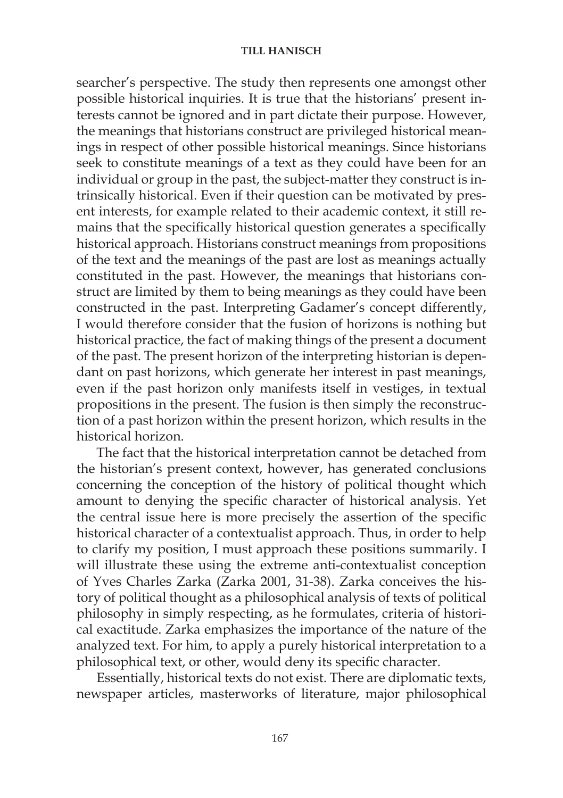searcher's perspective. The study then represents one amongst other possible historical inquiries. It is true that the historians' present interests cannot be ignored and in part dictate their purpose. However, the meanings that historians construct are privileged historical meanings in respect of other possible historical meanings. Since historians seek to constitute meanings of a text as they could have been for an individual or group in the past, the subject-matter they construct is intrinsically historical. Even if their question can be motivated by present interests, for example related to their academic context, it still remains that the specifically historical question generates a specifically historical approach. Historians construct meanings from propositions of the text and the meanings of the past are lost as meanings actually constituted in the past. However, the meanings that historians construct are limited by them to being meanings as they could have been constructed in the past. Interpreting Gadamer's concept differently, I would therefore consider that the fusion of horizons is nothing but historical practice, the fact of making things of the present a document of the past. The present horizon of the interpreting historian is dependant on past horizons, which generate her interest in past meanings, even if the past horizon only manifests itself in vestiges, in textual propositions in the present. The fusion is then simply the reconstruction of a past horizon within the present horizon, which results in the historical horizon.

The fact that the historical interpretation cannot be detached from the historian's present context, however, has generated conclusions concerning the conception of the history of political thought which amount to denying the specific character of historical analysis. Yet the central issue here is more precisely the assertion of the specific historical character of a contextualist approach. Thus, in order to help to clarify my position, I must approach these positions summarily. I will illustrate these using the extreme anti-contextualist conception of Yves Charles Zarka (Zarka 2001, 31-38). Zarka conceives the history of political thought as a philosophical analysis of texts of political philosophy in simply respecting, as he formulates, criteria of historical exactitude. Zarka emphasizes the importance of the nature of the analyzed text. For him, to apply a purely historical interpretation to a philosophical text, or other, would deny its specific character.

Essentially, historical texts do not exist. There are diplomatic texts, newspaper articles, masterworks of literature, major philosophical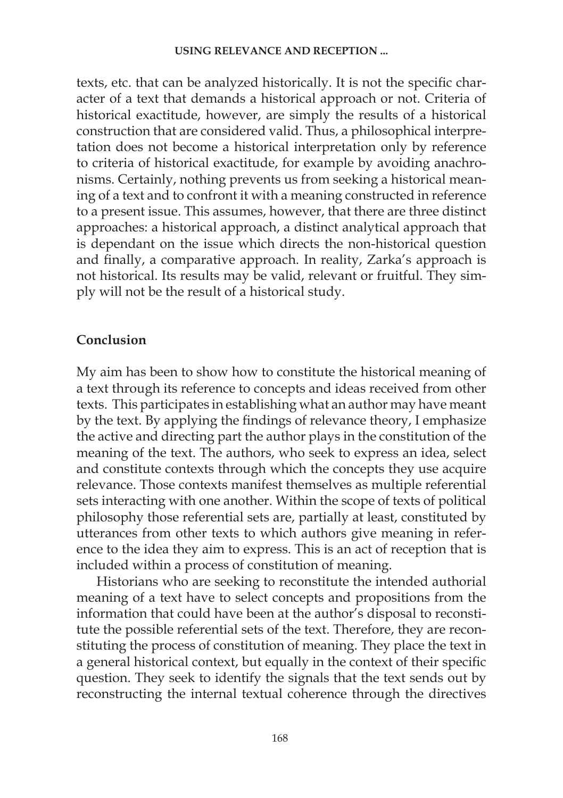texts, etc. that can be analyzed historically. It is not the specific character of a text that demands a historical approach or not. Criteria of historical exactitude, however, are simply the results of a historical construction that are considered valid. Thus, a philosophical interpretation does not become a historical interpretation only by reference to criteria of historical exactitude, for example by avoiding anachronisms. Certainly, nothing prevents us from seeking a historical meaning of a text and to confront it with a meaning constructed in reference to a present issue. This assumes, however, that there are three distinct approaches: a historical approach, a distinct analytical approach that is dependant on the issue which directs the non-historical question and finally, a comparative approach. In reality, Zarka's approach is not historical. Its results may be valid, relevant or fruitful. They simply will not be the result of a historical study.

## **Conclusion**

My aim has been to show how to constitute the historical meaning of a text through its reference to concepts and ideas received from other texts. This participates in establishing what an author may have meant by the text. By applying the findings of relevance theory, I emphasize the active and directing part the author plays in the constitution of the meaning of the text. The authors, who seek to express an idea, select and constitute contexts through which the concepts they use acquire relevance. Those contexts manifest themselves as multiple referential sets interacting with one another. Within the scope of texts of political philosophy those referential sets are, partially at least, constituted by utterances from other texts to which authors give meaning in reference to the idea they aim to express. This is an act of reception that is included within a process of constitution of meaning.

Historians who are seeking to reconstitute the intended authorial meaning of a text have to select concepts and propositions from the information that could have been at the author's disposal to reconstitute the possible referential sets of the text. Therefore, they are reconstituting the process of constitution of meaning. They place the text in a general historical context, but equally in the context of their specific question. They seek to identify the signals that the text sends out by reconstructing the internal textual coherence through the directives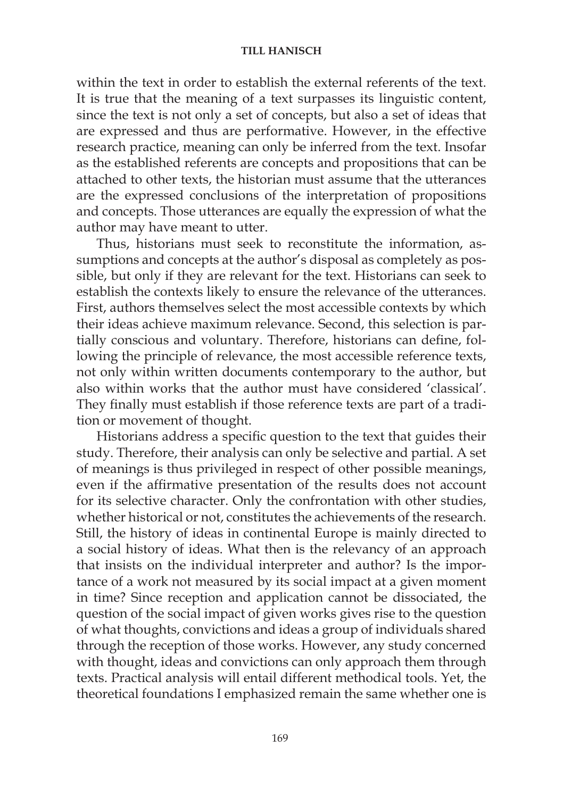within the text in order to establish the external referents of the text. It is true that the meaning of a text surpasses its linguistic content, since the text is not only a set of concepts, but also a set of ideas that are expressed and thus are performative. However, in the effective research practice, meaning can only be inferred from the text. Insofar as the established referents are concepts and propositions that can be attached to other texts, the historian must assume that the utterances are the expressed conclusions of the interpretation of propositions and concepts. Those utterances are equally the expression of what the author may have meant to utter.

Thus, historians must seek to reconstitute the information, assumptions and concepts at the author's disposal as completely as possible, but only if they are relevant for the text. Historians can seek to establish the contexts likely to ensure the relevance of the utterances. First, authors themselves select the most accessible contexts by which their ideas achieve maximum relevance. Second, this selection is partially conscious and voluntary. Therefore, historians can define, following the principle of relevance, the most accessible reference texts, not only within written documents contemporary to the author, but also within works that the author must have considered 'classical'. They finally must establish if those reference texts are part of a tradition or movement of thought.

Historians address a specific question to the text that guides their study. Therefore, their analysis can only be selective and partial. A set of meanings is thus privileged in respect of other possible meanings, even if the affirmative presentation of the results does not account for its selective character. Only the confrontation with other studies, whether historical or not, constitutes the achievements of the research. Still, the history of ideas in continental Europe is mainly directed to a social history of ideas. What then is the relevancy of an approach that insists on the individual interpreter and author? Is the importance of a work not measured by its social impact at a given moment in time? Since reception and application cannot be dissociated, the question of the social impact of given works gives rise to the question of what thoughts, convictions and ideas a group of individuals shared through the reception of those works. However, any study concerned with thought, ideas and convictions can only approach them through texts. Practical analysis will entail different methodical tools. Yet, the theoretical foundations I emphasized remain the same whether one is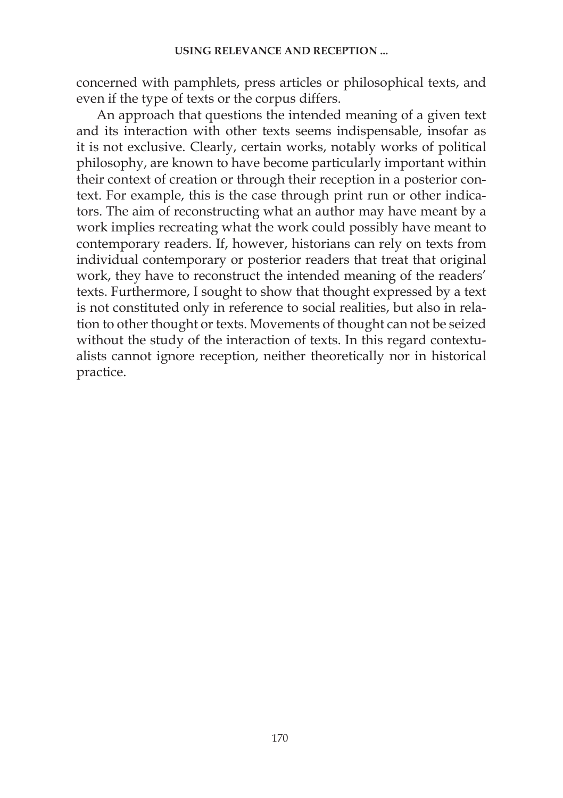concerned with pamphlets, press articles or philosophical texts, and even if the type of texts or the corpus differs.

An approach that questions the intended meaning of a given text and its interaction with other texts seems indispensable, insofar as it is not exclusive. Clearly, certain works, notably works of political philosophy, are known to have become particularly important within their context of creation or through their reception in a posterior context. For example, this is the case through print run or other indicators. The aim of reconstructing what an author may have meant by a work implies recreating what the work could possibly have meant to contemporary readers. If, however, historians can rely on texts from individual contemporary or posterior readers that treat that original work, they have to reconstruct the intended meaning of the readers' texts. Furthermore, I sought to show that thought expressed by a text is not constituted only in reference to social realities, but also in relation to other thought or texts. Movements of thought can not be seized without the study of the interaction of texts. In this regard contextualists cannot ignore reception, neither theoretically nor in historical practice.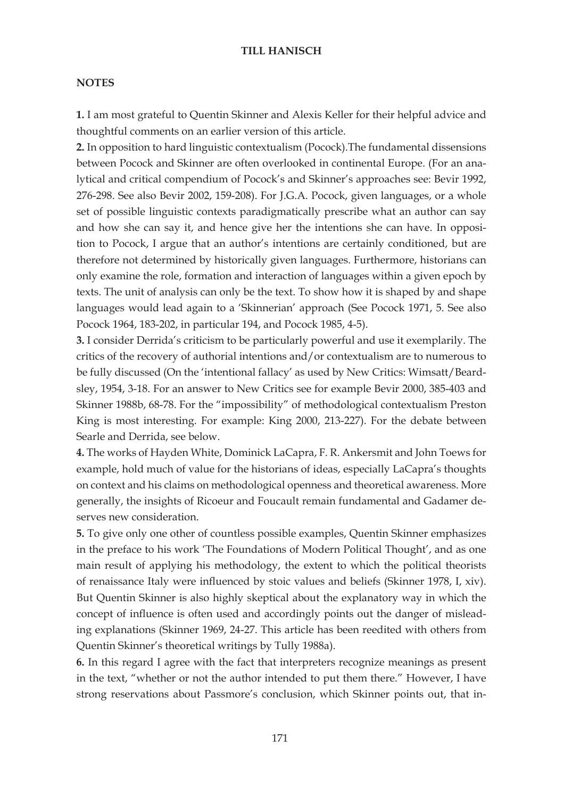#### **NOTES**

**1.** I am most grateful to Quentin Skinner and Alexis Keller for their helpful advice and thoughtful comments on an earlier version of this article.

**2.** In opposition to hard linguistic contextualism (Pocock).The fundamental dissensions between Pocock and Skinner are often overlooked in continental Europe. (For an analytical and critical compendium of Pocock's and Skinner's approaches see: Bevir 1992, 276-298. See also Bevir 2002, 159-208). For J.G.A. Pocock, given languages, or a whole set of possible linguistic contexts paradigmatically prescribe what an author can say and how she can say it, and hence give her the intentions she can have. In opposition to Pocock, I argue that an author's intentions are certainly conditioned, but are therefore not determined by historically given languages. Furthermore, historians can only examine the role, formation and interaction of languages within a given epoch by texts. The unit of analysis can only be the text. To show how it is shaped by and shape languages would lead again to a 'Skinnerian' approach (See Pocock 1971, 5. See also Pocock 1964, 183-202, in particular 194, and Pocock 1985, 4-5).

**3.** I consider Derrida's criticism to be particularly powerful and use it exemplarily. The critics of the recovery of authorial intentions and/or contextualism are to numerous to be fully discussed (On the 'intentional fallacy' as used by New Critics: Wimsatt/Beardsley, 1954, 3-18. For an answer to New Critics see for example Bevir 2000, 385-403 and Skinner 1988b, 68-78. For the "impossibility" of methodological contextualism Preston King is most interesting. For example: King 2000, 213-227). For the debate between Searle and Derrida, see below.

**4.** The works of Hayden White, Dominick LaCapra, F. R. Ankersmit and John Toews for example, hold much of value for the historians of ideas, especially LaCapra's thoughts on context and his claims on methodological openness and theoretical awareness. More generally, the insights of Ricoeur and Foucault remain fundamental and Gadamer deserves new consideration.

**5.** To give only one other of countless possible examples, Quentin Skinner emphasizes in the preface to his work 'The Foundations of Modern Political Thought', and as one main result of applying his methodology, the extent to which the political theorists of renaissance Italy were influenced by stoic values and beliefs (Skinner 1978, I, xiv). But Quentin Skinner is also highly skeptical about the explanatory way in which the concept of influence is often used and accordingly points out the danger of misleading explanations (Skinner 1969, 24-27. This article has been reedited with others from Quentin Skinner's theoretical writings by Tully 1988a).

**6.** In this regard I agree with the fact that interpreters recognize meanings as present in the text, "whether or not the author intended to put them there." However, I have strong reservations about Passmore's conclusion, which Skinner points out, that in-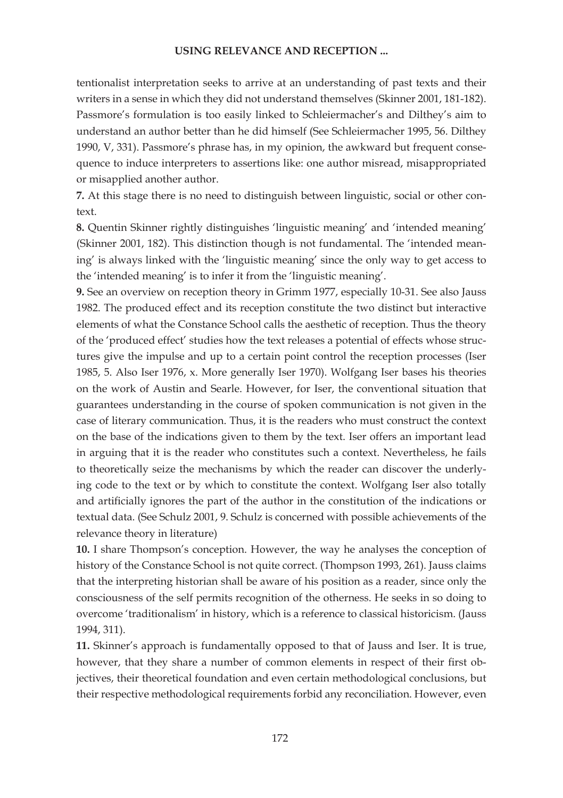tentionalist interpretation seeks to arrive at an understanding of past texts and their writers in a sense in which they did not understand themselves (Skinner 2001, 181-182). Passmore's formulation is too easily linked to Schleiermacher's and Dilthey's aim to understand an author better than he did himself (See Schleiermacher 1995, 56. Dilthey 1990, V, 331). Passmore's phrase has, in my opinion, the awkward but frequent consequence to induce interpreters to assertions like: one author misread, misappropriated or misapplied another author.

**7.** At this stage there is no need to distinguish between linguistic, social or other context.

**8.** Quentin Skinner rightly distinguishes 'linguistic meaning' and 'intended meaning' (Skinner 2001, 182). This distinction though is not fundamental. The 'intended meaning' is always linked with the 'linguistic meaning' since the only way to get access to the 'intended meaning' is to infer it from the 'linguistic meaning'.

**9.** See an overview on reception theory in Grimm 1977, especially 10-31. See also Jauss 1982. The produced effect and its reception constitute the two distinct but interactive elements of what the Constance School calls the aesthetic of reception. Thus the theory of the 'produced effect' studies how the text releases a potential of effects whose structures give the impulse and up to a certain point control the reception processes (Iser 1985, 5. Also Iser 1976, x. More generally Iser 1970). Wolfgang Iser bases his theories on the work of Austin and Searle. However, for Iser, the conventional situation that guarantees understanding in the course of spoken communication is not given in the case of literary communication. Thus, it is the readers who must construct the context on the base of the indications given to them by the text. Iser offers an important lead in arguing that it is the reader who constitutes such a context. Nevertheless, he fails to theoretically seize the mechanisms by which the reader can discover the underlying code to the text or by which to constitute the context. Wolfgang Iser also totally and artificially ignores the part of the author in the constitution of the indications or textual data. (See Schulz 2001, 9. Schulz is concerned with possible achievements of the relevance theory in literature)

**10.** I share Thompson's conception. However, the way he analyses the conception of history of the Constance School is not quite correct. (Thompson 1993, 261). Jauss claims that the interpreting historian shall be aware of his position as a reader, since only the consciousness of the self permits recognition of the otherness. He seeks in so doing to overcome 'traditionalism' in history, which is a reference to classical historicism. (Jauss 1994, 311).

**11.** Skinner's approach is fundamentally opposed to that of Jauss and Iser. It is true, however, that they share a number of common elements in respect of their first objectives, their theoretical foundation and even certain methodological conclusions, but their respective methodological requirements forbid any reconciliation. However, even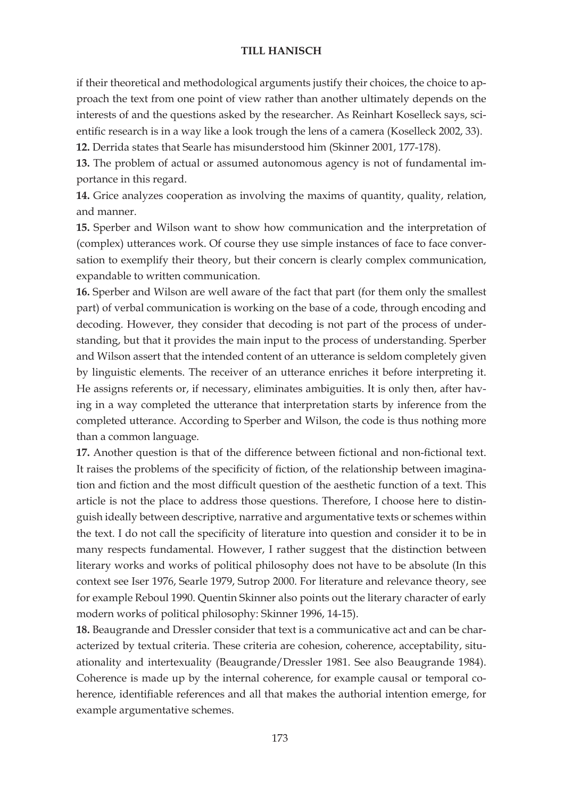if their theoretical and methodological arguments justify their choices, the choice to approach the text from one point of view rather than another ultimately depends on the interests of and the questions asked by the researcher. As Reinhart Koselleck says, scientific research is in a way like a look trough the lens of a camera (Koselleck 2002, 33). **12.** Derrida states that Searle has misunderstood him (Skinner 2001, 177-178).

**13.** The problem of actual or assumed autonomous agency is not of fundamental importance in this regard.

**14.** Grice analyzes cooperation as involving the maxims of quantity, quality, relation, and manner.

**15.** Sperber and Wilson want to show how communication and the interpretation of (complex) utterances work. Of course they use simple instances of face to face conversation to exemplify their theory, but their concern is clearly complex communication, expandable to written communication.

**16.** Sperber and Wilson are well aware of the fact that part (for them only the smallest part) of verbal communication is working on the base of a code, through encoding and decoding. However, they consider that decoding is not part of the process of understanding, but that it provides the main input to the process of understanding. Sperber and Wilson assert that the intended content of an utterance is seldom completely given by linguistic elements. The receiver of an utterance enriches it before interpreting it. He assigns referents or, if necessary, eliminates ambiguities. It is only then, after having in a way completed the utterance that interpretation starts by inference from the completed utterance. According to Sperber and Wilson, the code is thus nothing more than a common language.

**17.** Another question is that of the difference between fictional and non-fictional text. It raises the problems of the specificity of fiction, of the relationship between imagination and fiction and the most difficult question of the aesthetic function of a text. This article is not the place to address those questions. Therefore, I choose here to distinguish ideally between descriptive, narrative and argumentative texts or schemes within the text. I do not call the specificity of literature into question and consider it to be in many respects fundamental. However, I rather suggest that the distinction between literary works and works of political philosophy does not have to be absolute (In this context see Iser 1976, Searle 1979, Sutrop 2000. For literature and relevance theory, see for example Reboul 1990. Quentin Skinner also points out the literary character of early modern works of political philosophy: Skinner 1996, 14-15).

**18.** Beaugrande and Dressler consider that text is a communicative act and can be characterized by textual criteria. These criteria are cohesion, coherence, acceptability, situationality and intertexuality (Beaugrande/Dressler 1981. See also Beaugrande 1984). Coherence is made up by the internal coherence, for example causal or temporal coherence, identifiable references and all that makes the authorial intention emerge, for example argumentative schemes.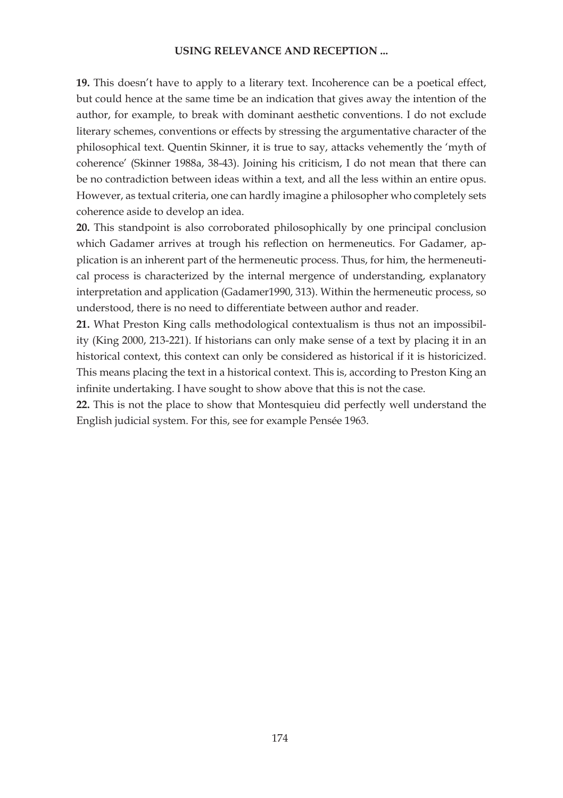**19.** This doesn't have to apply to a literary text. Incoherence can be a poetical effect, but could hence at the same time be an indication that gives away the intention of the author, for example, to break with dominant aesthetic conventions. I do not exclude literary schemes, conventions or effects by stressing the argumentative character of the philosophical text. Quentin Skinner, it is true to say, attacks vehemently the 'myth of coherence' (Skinner 1988a, 38-43). Joining his criticism, I do not mean that there can be no contradiction between ideas within a text, and all the less within an entire opus. However, as textual criteria, one can hardly imagine a philosopher who completely sets coherence aside to develop an idea.

**20.** This standpoint is also corroborated philosophically by one principal conclusion which Gadamer arrives at trough his reflection on hermeneutics. For Gadamer, application is an inherent part of the hermeneutic process. Thus, for him, the hermeneutical process is characterized by the internal mergence of understanding, explanatory interpretation and application (Gadamer1990, 313). Within the hermeneutic process, so understood, there is no need to differentiate between author and reader.

**21.** What Preston King calls methodological contextualism is thus not an impossibility (King 2000, 213-221). If historians can only make sense of a text by placing it in an historical context, this context can only be considered as historical if it is historicized. This means placing the text in a historical context. This is, according to Preston King an infinite undertaking. I have sought to show above that this is not the case.

**22.** This is not the place to show that Montesquieu did perfectly well understand the English judicial system. For this, see for example Pensée 1963.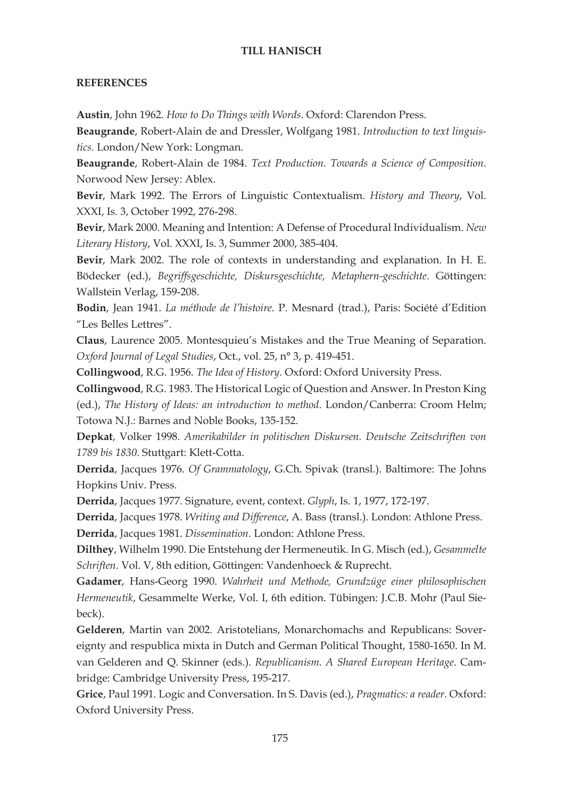#### **REFERENCES**

**Austin**, John 1962. *How to Do Things with Words*. Oxford: Clarendon Press.

**Beaugrande**, Robert-Alain de and Dressler, Wolfgang 1981. *Introduction to text linguistics*. London/New York: Longman.

**Beaugrande**, Robert-Alain de 1984. *Text Production. Towards a Science of Composition*. Norwood New Jersey: Ablex.

**Bevir**, Mark 1992. The Errors of Linguistic Contextualism. *History and Theory*, Vol. XXXI, Is. 3, October 1992, 276-298.

**Bevir**, Mark 2000. Meaning and Intention: A Defense of Procedural Individualism. *New Literary History*, Vol. XXXI, Is. 3, Summer 2000, 385-404.

**Bevir**, Mark 2002. The role of contexts in understanding and explanation. In H. E. Bödecker (ed.), *Begriffsgeschichte, Diskursgeschichte, Metaphern-geschichte*. Göttingen: Wallstein Verlag, 159-208.

**Bodin**, Jean 1941. *La méthode de l'histoire*. P. Mesnard (trad.), Paris: Société d'Edition "Les Belles Lettres".

**Claus**, Laurence 2005. Montesquieu's Mistakes and the True Meaning of Separation. *Oxford Journal of Legal Studies*, Oct., vol. 25, n° 3, p. 419-451.

**Collingwood**, R.G. 1956. *The Idea of History*. Oxford: Oxford University Press.

**Collingwood**, R.G. 1983. The Historical Logic of Question and Answer. In Preston King (ed.), *The History of Ideas: an introduction to method*. London/Canberra: Croom Helm; Totowa N.J.: Barnes and Noble Books, 135-152.

**Depkat**, Volker 1998. *Amerikabilder in politischen Diskursen. Deutsche Zeitschriften von 1789 bis 1830*. Stuttgart: Klett-Cotta.

**Derrida**, Jacques 1976. *Of Grammatology*, G.Ch. Spivak (transl.). Baltimore: The Johns Hopkins Univ. Press.

**Derrida**, Jacques 1977. Signature, event, context. *Glyph*, Is. 1, 1977, 172-197.

**Derrida**, Jacques 1978. *Writing and Difference*, A. Bass (transl.). London: Athlone Press. **Derrida**, Jacques 1981. *Dissemination*. London: Athlone Press.

**Dilthey**, Wilhelm 1990. Die Entstehung der Hermeneutik. In G. Misch (ed.), *Gesammelte Schriften*. Vol. V, 8th edition, Göttingen: Vandenhoeck & Ruprecht.

**Gadamer**, Hans-Georg 1990. *Wahrheit und Methode, Grundzüge einer philosophischen Hermeneutik*, Gesammelte Werke, Vol. I, 6th edition. Tübingen: J.C.B. Mohr (Paul Siebeck).

**Gelderen**, Martin van 2002. Aristotelians, Monarchomachs and Republicans: Sovereignty and respublica mixta in Dutch and German Political Thought, 1580-1650. In M. van Gelderen and Q. Skinner (eds.). *Republicanism. A Shared European Heritage*. Cambridge: Cambridge University Press, 195-217.

**Grice**, Paul 1991. Logic and Conversation. In S. Davis (ed.), *Pragmatics: a reader*. Oxford: Oxford University Press.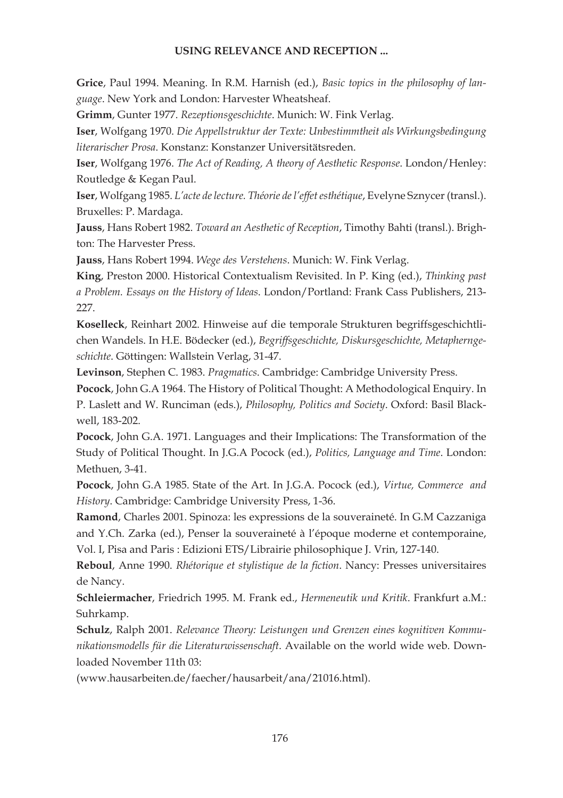**Grice**, Paul 1994. Meaning. In R.M. Harnish (ed.), *Basic topics in the philosophy of language*. New York and London: Harvester Wheatsheaf.

**Grimm**, Gunter 1977. *Rezeptionsgeschichte*. Munich: W. Fink Verlag.

**Iser**, Wolfgang 1970. *Die Appellstruktur der Texte: Unbestimmtheit als Wirkungsbedingung literarischer Prosa*. Konstanz: Konstanzer Universitätsreden.

**Iser**, Wolfgang 1976. *The Act of Reading, A theory of Aesthetic Response*. London/Henley: Routledge & Kegan Paul.

**Iser**, Wolfgang 1985. *L'acte de lecture. Théorie de l'effet esthétique*, Evelyne Sznycer (transl.). Bruxelles: P. Mardaga.

**Jauss**, Hans Robert 1982. *Toward an Aesthetic of Reception*, Timothy Bahti (transl.). Brighton: The Harvester Press.

**Jauss**, Hans Robert 1994. *Wege des Verstehens*. Munich: W. Fink Verlag.

**King**, Preston 2000. Historical Contextualism Revisited. In P. King (ed.), *Thinking past a Problem. Essays on the History of Ideas*. London/Portland: Frank Cass Publishers, 213- 227.

**Koselleck**, Reinhart 2002. Hinweise auf die temporale Strukturen begriffsgeschichtlichen Wandels. In H.E. Bödecker (ed.), *Begriffsgeschichte, Diskursgeschichte, Metapherngeschichte*. Göttingen: Wallstein Verlag, 31-47.

**Levinson**, Stephen C. 1983. *Pragmatics*. Cambridge: Cambridge University Press.

**Pocock**, John G.A 1964. The History of Political Thought: A Methodological Enquiry. In P. Laslett and W. Runciman (eds.), *Philosophy, Politics and Society*. Oxford: Basil Blackwell, 183-202.

**Pocock**, John G.A. 1971. Languages and their Implications: The Transformation of the Study of Political Thought. In J.G.A Pocock (ed.), *Politics, Language and Time*. London: Methuen, 3-41.

**Pocock**, John G.A 1985. State of the Art. In J.G.A. Pocock (ed.), *Virtue, Commerce and History*. Cambridge: Cambridge University Press, 1-36.

**Ramond**, Charles 2001. Spinoza: les expressions de la souveraineté. In G.M Cazzaniga and Y.Ch. Zarka (ed.), Penser la souveraineté à l'époque moderne et contemporaine, Vol. I, Pisa and Paris : Edizioni ETS/Librairie philosophique J. Vrin, 127-140.

**Reboul**, Anne 1990. *Rhétorique et stylistique de la fiction*. Nancy: Presses universitaires de Nancy.

**Schleiermacher**, Friedrich 1995. M. Frank ed., *Hermeneutik und Kritik*. Frankfurt a.M.: Suhrkamp.

**Schulz**, Ralph 2001. *Relevance Theory: Leistungen und Grenzen eines kognitiven Kommunikationsmodells für die Literaturwissenschaft*. Available on the world wide web. Downloaded November 11th 03:

(www.hausarbeiten.de/faecher/hausarbeit/ana/21016.html).